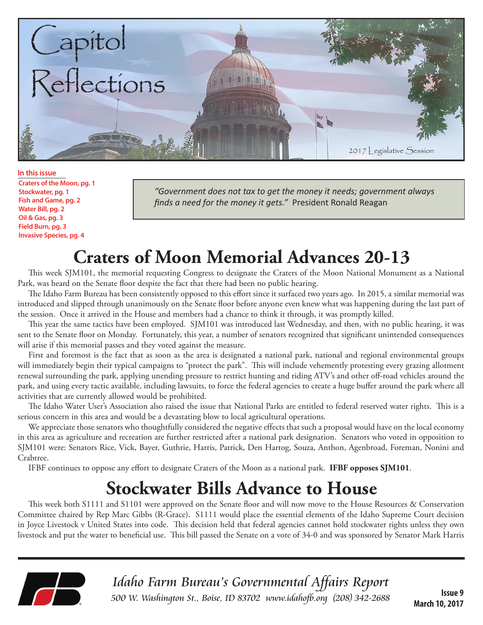

**In this issue Craters of the Moon, pg. 1 Stockwater, pg. 1 Fish and Game, pg. 2 Water Bill, pg. 2 Oil & Gas, pg. 3 Field Burn, pg. 3 Invasive Species, pg. 4**

*"Government does not tax to get the money it needs; government always finds a need for the money it gets."* President Ronald Reagan

## **Craters of Moon Memorial Advances 20-13**

This week SJM101, the memorial requesting Congress to designate the Craters of the Moon National Monument as a National Park, was heard on the Senate floor despite the fact that there had been no public hearing.

The Idaho Farm Bureau has been consistently opposed to this effort since it surfaced two years ago. In 2015, a similar memorial was introduced and slipped through unanimously on the Senate floor before anyone even knew what was happening during the last part of the session. Once it arrived in the House and members had a chance to think it through, it was promptly killed.

This year the same tactics have been employed. SJM101 was introduced last Wednesday, and then, with no public hearing, it was sent to the Senate floor on Monday. Fortunately, this year, a number of senators recognized that significant unintended consequences will arise if this memorial passes and they voted against the measure.

First and foremost is the fact that as soon as the area is designated a national park, national and regional environmental groups will immediately begin their typical campaigns to "protect the park". This will include vehemently protesting every grazing allotment renewal surrounding the park, applying unending pressure to restrict hunting and riding ATV's and other off-road vehicles around the park, and using every tactic available, including lawsuits, to force the federal agencies to create a huge buffer around the park where all activities that are currently allowed would be prohibited.

The Idaho Water User's Association also raised the issue that National Parks are entitled to federal reserved water rights. This is a serious concern in this area and would be a devastating blow to local agricultural operations.

We appreciate those senators who thoughtfully considered the negative effects that such a proposal would have on the local economy in this area as agriculture and recreation are further restricted after a national park designation. Senators who voted in opposition to SJM101 were: Senators Rice, Vick, Bayer, Guthrie, Harris, Patrick, Den Hartog, Souza, Anthon, Agenbroad, Foreman, Nonini and Crabtree.

IFBF continues to oppose any effort to designate Craters of the Moon as a national park. **IFBF opposes SJM101**.

## **Stockwater Bills Advance to House**

This week both S1111 and S1101 were approved on the Senate floor and will now move to the House Resources & Conservation Committee chaired by Rep Marc Gibbs (R-Grace). S1111 would place the essential elements of the Idaho Supreme Court decision in Joyce Livestock v United States into code. This decision held that federal agencies cannot hold stockwater rights unless they own livestock and put the water to beneficial use. This bill passed the Senate on a vote of 34-0 and was sponsored by Senator Mark Harris



Idaho Farm Bureau's Governmental Affairs Report 500 W. Washington St., Boise, ID 83702 [www.idahofb.org \(2](http://www.idahofb.org)08) 342-2688

**Issue 9 March 10, 2017**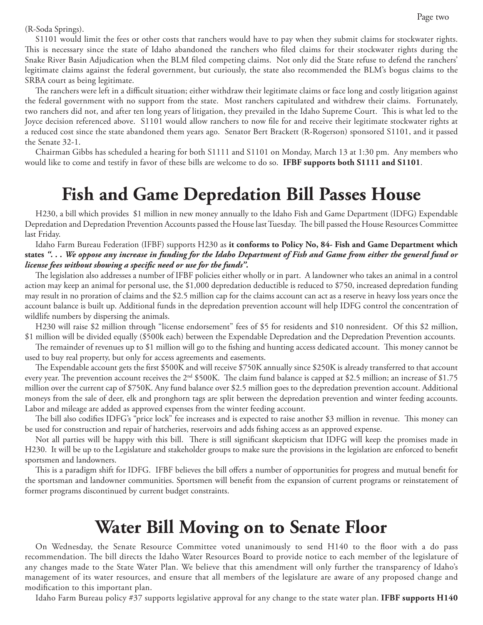(R-Soda Springs).

S1101 would limit the fees or other costs that ranchers would have to pay when they submit claims for stockwater rights. This is necessary since the state of Idaho abandoned the ranchers who filed claims for their stockwater rights during the Snake River Basin Adjudication when the BLM filed competing claims. Not only did the State refuse to defend the ranchers' legitimate claims against the federal government, but curiously, the state also recommended the BLM's bogus claims to the SRBA court as being legitimate.

The ranchers were left in a difficult situation; either withdraw their legitimate claims or face long and costly litigation against the federal government with no support from the state. Most ranchers capitulated and withdrew their claims. Fortunately, two ranchers did not, and after ten long years of litigation, they prevailed in the Idaho Supreme Court. This is what led to the Joyce decision referenced above. S1101 would allow ranchers to now file for and receive their legitimate stockwater rights at a reduced cost since the state abandoned them years ago. Senator Bert Brackett (R-Rogerson) sponsored S1101, and it passed the Senate 32-1.

Chairman Gibbs has scheduled a hearing for both S1111 and S1101 on Monday, March 13 at 1:30 pm. Any members who would like to come and testify in favor of these bills are welcome to do so. **IFBF supports both S1111 and S1101**.

#### **Fish and Game Depredation Bill Passes House**

H230, a bill which provides \$1 million in new money annually to the Idaho Fish and Game Department (IDFG) Expendable Depredation and Depredation Prevention Accounts passed the House last Tuesday. The bill passed the House Resources Committee last Friday.

Idaho Farm Bureau Federation (IFBF) supports H230 as **it conforms to Policy No, 84- Fish and Game Department which states** *". . . We oppose any increase in funding for the Idaho Department of Fish and Game from either the general fund or license fees without showing a specific need or use for the funds".* 

The legislation also addresses a number of IFBF policies either wholly or in part. A landowner who takes an animal in a control action may keep an animal for personal use, the \$1,000 depredation deductible is reduced to \$750, increased depredation funding may result in no proration of claims and the \$2.5 million cap for the claims account can act as a reserve in heavy loss years once the account balance is built up. Additional funds in the depredation prevention account will help IDFG control the concentration of wildlife numbers by dispersing the animals.

H230 will raise \$2 million through "license endorsement" fees of \$5 for residents and \$10 nonresident. Of this \$2 million, \$1 million will be divided equally (\$500k each) between the Expendable Depredation and the Depredation Prevention accounts.

The remainder of revenues up to \$1 million will go to the fishing and hunting access dedicated account. This money cannot be used to buy real property, but only for access agreements and easements.

The Expendable account gets the first \$500K and will receive \$750K annually since \$250K is already transferred to that account every year. The prevention account receives the  $2<sup>nd</sup>$  \$500K. The claim fund balance is capped at \$2.5 million; an increase of \$1.75 million over the current cap of \$750K. Any fund balance over \$2.5 million goes to the depredation prevention account. Additional moneys from the sale of deer, elk and pronghorn tags are split between the depredation prevention and winter feeding accounts. Labor and mileage are added as approved expenses from the winter feeding account.

The bill also codifies IDFG's "price lock" fee increases and is expected to raise another \$3 million in revenue. This money can be used for construction and repair of hatcheries, reservoirs and adds fishing access as an approved expense.

Not all parties will be happy with this bill. There is still significant skepticism that IDFG will keep the promises made in H230. It will be up to the Legislature and stakeholder groups to make sure the provisions in the legislation are enforced to benefit sportsmen and landowners.

This is a paradigm shift for IDFG. IFBF believes the bill offers a number of opportunities for progress and mutual benefit for the sportsman and landowner communities. Sportsmen will benefit from the expansion of current programs or reinstatement of former programs discontinued by current budget constraints.

#### **Water Bill Moving on to Senate Floor**

On Wednesday, the Senate Resource Committee voted unanimously to send H140 to the floor with a do pass recommendation. The bill directs the Idaho Water Resources Board to provide notice to each member of the legislature of any changes made to the State Water Plan. We believe that this amendment will only further the transparency of Idaho's management of its water resources, and ensure that all members of the legislature are aware of any proposed change and modification to this important plan.

Idaho Farm Bureau policy #37 supports legislative approval for any change to the state water plan. **IFBF supports H140**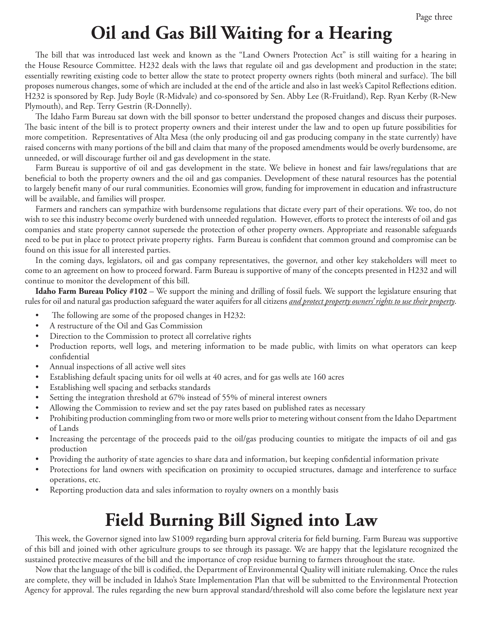# **Oil and Gas Bill Waiting for a Hearing**

The bill that was introduced last week and known as the "Land Owners Protection Act" is still waiting for a hearing in the House Resource Committee. H232 deals with the laws that regulate oil and gas development and production in the state; essentially rewriting existing code to better allow the state to protect property owners rights (both mineral and surface). The bill proposes numerous changes, some of which are included at the end of the article and also in last week's Capitol Reflections edition. H232 is sponsored by Rep. Judy Boyle (R-Midvale) and co-sponsored by Sen. Abby Lee (R-Fruitland), Rep. Ryan Kerby (R-New Plymouth), and Rep. Terry Gestrin (R-Donnelly).

The Idaho Farm Bureau sat down with the bill sponsor to better understand the proposed changes and discuss their purposes. The basic intent of the bill is to protect property owners and their interest under the law and to open up future possibilities for more competition. Representatives of Alta Mesa (the only producing oil and gas producing company in the state currently) have raised concerns with many portions of the bill and claim that many of the proposed amendments would be overly burdensome, are unneeded, or will discourage further oil and gas development in the state.

Farm Bureau is supportive of oil and gas development in the state. We believe in honest and fair laws/regulations that are beneficial to both the property owners and the oil and gas companies. Development of these natural resources has the potential to largely benefit many of our rural communities. Economies will grow, funding for improvement in education and infrastructure will be available, and families will prosper.

Farmers and ranchers can sympathize with burdensome regulations that dictate every part of their operations. We too, do not wish to see this industry become overly burdened with unneeded regulation. However, efforts to protect the interests of oil and gas companies and state property cannot supersede the protection of other property owners. Appropriate and reasonable safeguards need to be put in place to protect private property rights. Farm Bureau is confident that common ground and compromise can be found on this issue for all interested parties.

In the coming days, legislators, oil and gas company representatives, the governor, and other key stakeholders will meet to come to an agreement on how to proceed forward. Farm Bureau is supportive of many of the concepts presented in H232 and will continue to monitor the development of this bill.

**Idaho Farm Bureau Policy #102** – We support the mining and drilling of fossil fuels. We support the legislature ensuring that rules for oil and natural gas production safeguard the water aquifers for all citizens *and protect property owners' rights to use their property*.

- The following are some of the proposed changes in H232:
- A restructure of the Oil and Gas Commission
- Direction to the Commission to protect all correlative rights
- Production reports, well logs, and metering information to be made public, with limits on what operators can keep confidential
- Annual inspections of all active well sites
- Establishing default spacing units for oil wells at 40 acres, and for gas wells ate 160 acres
- Establishing well spacing and setbacks standards
- Setting the integration threshold at 67% instead of 55% of mineral interest owners
- Allowing the Commission to review and set the pay rates based on published rates as necessary
- Prohibiting production commingling from two or more wells prior to metering without consent from the Idaho Department of Lands
- Increasing the percentage of the proceeds paid to the oil/gas producing counties to mitigate the impacts of oil and gas production
- Providing the authority of state agencies to share data and information, but keeping confidential information private
- Protections for land owners with specification on proximity to occupied structures, damage and interference to surface operations, etc.
- Reporting production data and sales information to royalty owners on a monthly basis

# **Field Burning Bill Signed into Law**

This week, the Governor signed into law S1009 regarding burn approval criteria for field burning. Farm Bureau was supportive of this bill and joined with other agriculture groups to see through its passage. We are happy that the legislature recognized the sustained protective measures of the bill and the importance of crop residue burning to farmers throughout the state.

Now that the language of the bill is codified, the Department of Environmental Quality will initiate rulemaking. Once the rules are complete, they will be included in Idaho's State Implementation Plan that will be submitted to the Environmental Protection Agency for approval. The rules regarding the new burn approval standard/threshold will also come before the legislature next year